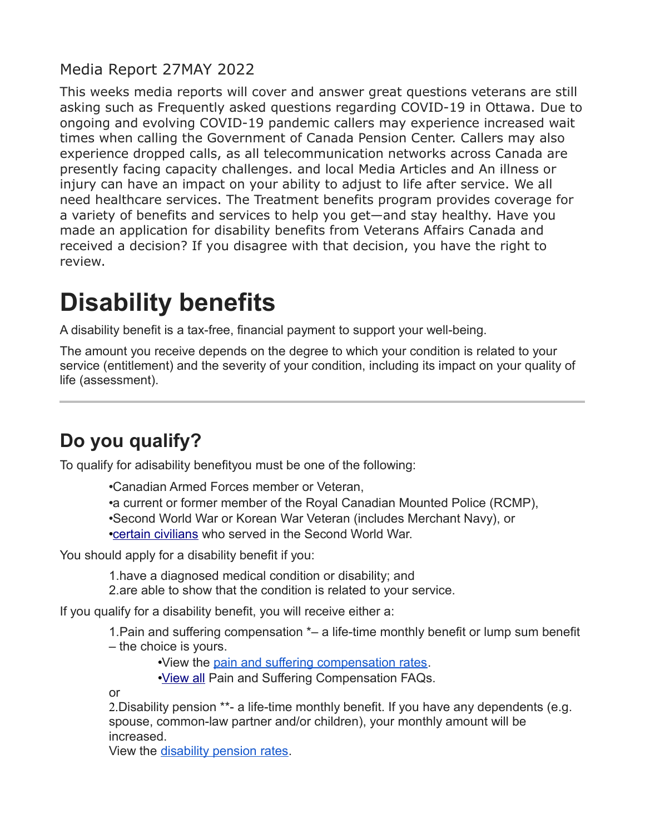#### Media Report 27MAY 2022

This weeks media reports will cover and answer great questions veterans are still asking such as Frequently asked questions regarding COVID-19 in Ottawa. Due to ongoing and evolving COVID-19 pandemic callers may experience increased wait times when calling the Government of Canada Pension Center. Callers may also experience dropped calls, as all telecommunication networks across Canada are presently facing capacity challenges. and local Media Articles and An illness or injury can have an impact on your ability to adjust to life after service. We all need healthcare services. The Treatment benefits program provides coverage for a variety of benefits and services to help you get—and stay healthy. Have you made an application for disability benefits from Veterans Affairs Canada and received a decision? If you disagree with that decision, you have the right to review.

# **Disability benefits**

A disability benefit is a tax-free, financial payment to support your well-being.

The amount you receive depends on the degree to which your condition is related to your service (entitlement) and the severity of your condition, including its impact on your quality of life (assessment).

## **Do you qualify?**

To qualify for adisability benefityou must be one of the following:

•Canadian Armed Forces member or Veteran, •a current or former member of the Royal Canadian Mounted Police (RCMP), •Second World War or Korean War Veteran (includes Merchant Navy), or •[certain civilians](https://www.veterans.gc.ca/eng/health-support/physical-health-and-wellness/compensation-illness-injury/disability-benefits/civilians) who served in the Second World War.

You should apply for a disability benefit if you:

1.have a diagnosed medical condition or disability; and 2.are able to show that the condition is related to your service.

If you qualify for a disability benefit, you will receive either a:

1.Pain and suffering compensation \*– a life-time monthly benefit or lump sum benefit – the choice is yours.

•View the [pain and suffering compensation rates.](https://www.veterans.gc.ca/eng/resources/rates#psc)

•[View all](https://www.veterans.gc.ca/eng/services/pension-for-life/q-and-a#a3) Pain and Suffering Compensation FAQs.

or

2.Disability pension \*\*- a life-time monthly benefit. If you have any dependents (e.g. spouse, common-law partner and/or children), your monthly amount will be increased.

View the [disability pension rates.](https://www.veterans.gc.ca/eng/resources/rates#dispen)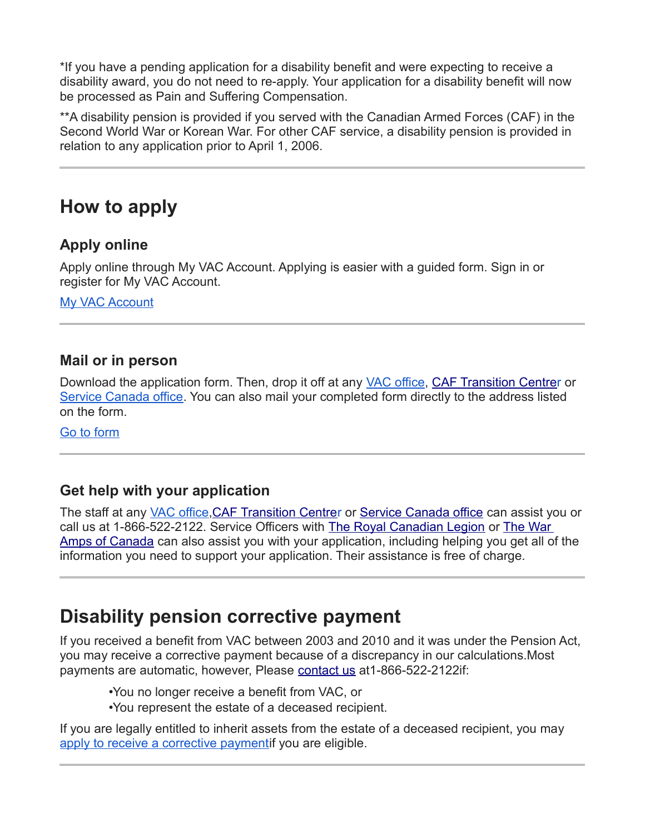\*If you have a pending application for a disability benefit and were expecting to receive a disability award, you do not need to re-apply. Your application for a disability benefit will now be processed as Pain and Suffering Compensation.

\*\*A disability pension is provided if you served with the Canadian Armed Forces (CAF) in the Second World War or Korean War. For other CAF service, a disability pension is provided in relation to any application prior to April 1, 2006.

### **How to apply**

#### **Apply online**

Apply online through My VAC Account. Applying is easier with a guided form. Sign in or register for My VAC Account.

[My VAC Account](https://www.veterans.gc.ca/eng/e_services)

#### **Mail or in person**

Download the application form. Then, drop it off at any [VAC office,](https://www.veterans.gc.ca/eng/contact) [CAF Transition Centrer](https://www.veterans.gc.ca/eng/resources/transition-centre) or [Service Canada office.](https://www.veterans.gc.ca/eng/contact) You can also mail your completed form directly to the address listed on the form.

[Go to form](https://www.veterans.gc.ca/eng/forms/document/616)

#### **Get help with your application**

The staff at any [VAC office,](https://www.veterans.gc.ca/eng/contact)[CAF Transition Centrer](https://www.veterans.gc.ca/eng/resources/transition-centre) or [Service Canada office](https://www.veterans.gc.ca/eng/contact) can assist you or call us at 1-866-522-2122. Service Officers with [The Royal Canadian Legion](http://www.legion.ca/we-can-help/contact-a-service-officer/) or [The War](http://www.waramps.ca/)  [Amps of Canada](http://www.waramps.ca/) can also assist you with your application, including helping you get all of the information you need to support your application. Their assistance is free of charge.

### **Disability pension corrective payment**

If you received a benefit from VAC between 2003 and 2010 and it was under the Pension Act, you may receive a corrective payment because of a discrepancy in our calculations.Most payments are automatic, however, Please [contact us](https://www.veterans.gc.ca/eng/contact) at 1-866-522-2122if:

•You no longer receive a benefit from VAC, or

•You represent the estate of a deceased recipient.

If you are legally entitled to inherit assets from the estate of a deceased recipient, you may [apply to receive a corrective paymenti](https://dpca-rcpi.vac-acc.gc.ca/dpca/public/login)f you are eligible.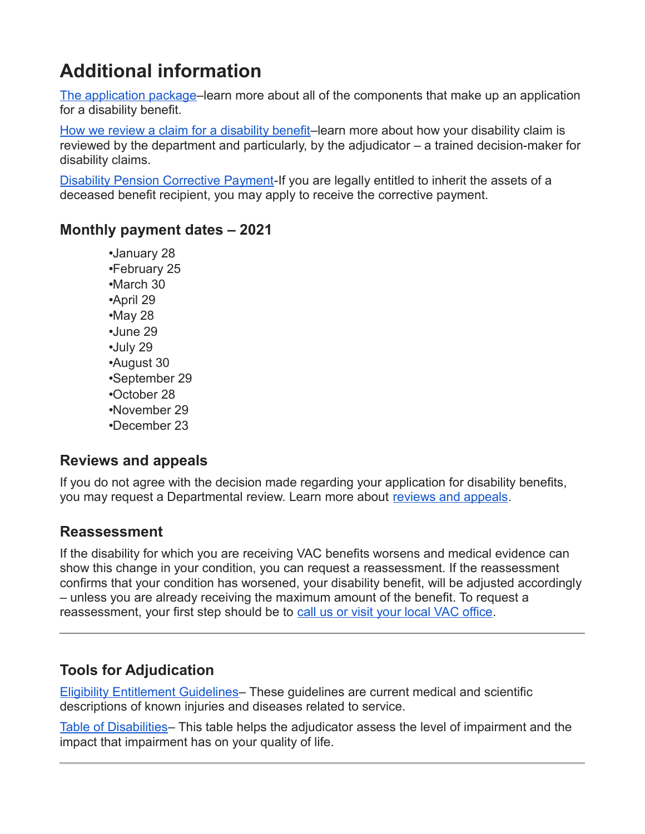## **Additional information**

[The application package–](https://www.veterans.gc.ca/eng/art-hub/what-to-include)learn more about all of the components that make up an application for a disability benefit.

[How we review a claim for a disability benefit–](https://www.veterans.gc.ca/eng/art-hub/disability-benefits-review-claim)learn more about how your disability claim is reviewed by the department and particularly, by the adjudicator – a trained decision-maker for disability claims.

[Disability Pension Corrective Payment-](https://www.veterans.gc.ca/eng/help/faq/disability-pension-correct-pay)If you are legally entitled to inherit the assets of a deceased benefit recipient, you may apply to receive the corrective payment.

#### **Monthly payment dates – 2021**

•January 28 •February 25 •March 30 •April 29 •May 28 •June 29 •July 29 •August 30 •September 29 •October 28 •November 29 •December 23

#### **Reviews and appeals**

If you do not agree with the decision made regarding your application for disability benefits, you may request a Departmental review. Learn more about [reviews and appeals.](https://www.veterans.gc.ca/eng/veterans-rights/how-to-appeal)

#### **Reassessment**

If the disability for which you are receiving VAC benefits worsens and medical evidence can show this change in your condition, you can request a reassessment. If the reassessment confirms that your condition has worsened, your disability benefit, will be adjusted accordingly – unless you are already receiving the maximum amount of the benefit. To request a reassessment, your first step should be to [call us or visit your local VAC office.](https://www.veterans.gc.ca/eng/contact)

#### **Tools for Adjudication**

[Eligibility Entitlement Guidelines–](https://www.veterans.gc.ca/eng/health-support/physical-health-and-wellness/compensation-illness-injury/disability-benefits/benefits-determined/entitlement-eligibility-guidelines/az-intro) These guidelines are current medical and scientific descriptions of known injuries and diseases related to service.

[Table of Disabilities–](https://www.veterans.gc.ca/eng/health-support/physical-health-and-wellness/compensation-illness-injury/disability-benefits/benefits-determined/table-of-disabilities) This table helps the adjudicator assess the level of impairment and the impact that impairment has on your quality of life.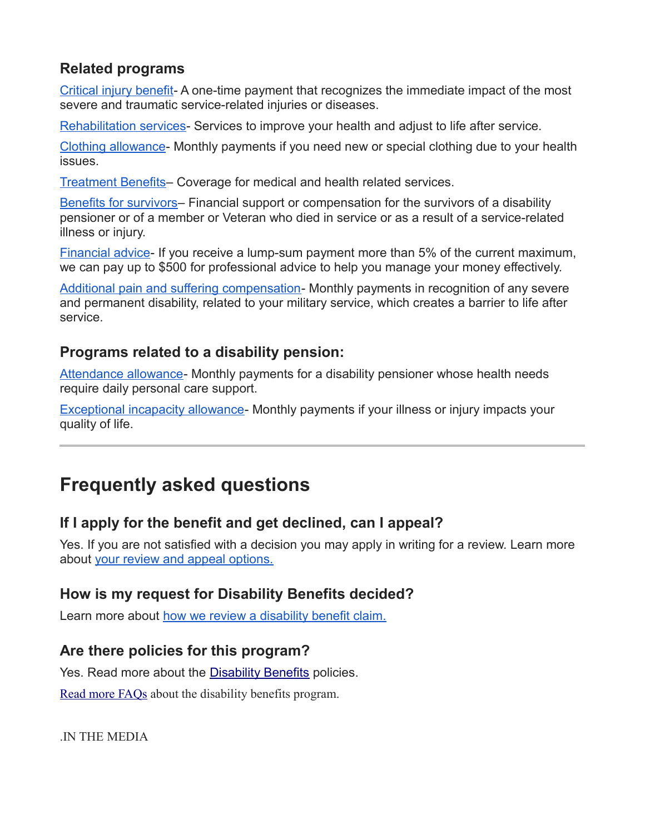#### **Related programs**

[Critical injury benefit-](https://www.veterans.gc.ca/eng/financial-support/compensation-illness-injury/critical-injury-benefit) A one-time payment that recognizes the immediate impact of the most severe and traumatic service-related injuries or diseases.

[Rehabilitation services-](https://www.veterans.gc.ca/eng/health-support/physical-health-and-wellness/rehabilitation-services) Services to improve your health and adjust to life after service.

[Clothing allowance-](https://www.veterans.gc.ca/eng/health-support/physical-health-and-wellness/compensation-illness-injury/clothing-allowance) Monthly payments if you need new or special clothing due to your health issues.

[Treatment Benefits–](https://www.veterans.gc.ca/eng/financial-support/medical-costs/treatment-benefits) Coverage for medical and health related services.

[Benefits for survivors–](https://www.veterans.gc.ca/eng/family-caregiver/death-and-bereavement) Financial support or compensation for the survivors of a disability pensioner or of a member or Veteran who died in service or as a result of a service-related illness or injury.

[Financial advice-](https://www.veterans.gc.ca/eng/financial-support/financial-planning/financial-advice) If you receive a lump-sum payment more than 5% of the current maximum, we can pay up to \$500 for professional advice to help you manage your money effectively.

[Additional pain and suffering compensation-](https://www.veterans.gc.ca/eng/financial-support/income-support/additional-pain-suffering) Monthly payments in recognition of any severe and permanent disability, related to your military service, which creates a barrier to life after service.

#### **Programs related to a disability pension:**

[Attendance allowance-](https://www.veterans.gc.ca/eng/health-support/physical-health-and-wellness/compensation-illness-injury/attendance-allowance) Monthly payments for a disability pensioner whose health needs require daily personal care support.

**[Exceptional incapacity allowance-](https://www.veterans.gc.ca/eng/health-support/physical-health-and-wellness/compensation-illness-injury/exceptional-incapacity-allowance)** Monthly payments if your illness or injury impacts your quality of life.

## **Frequently asked questions**

#### **If I apply for the benefit and get declined, can I appeal?**

Yes. If you are not satisfied with a decision you may apply in writing for a review. Learn more about [your review and appeal options.](https://www.veterans.gc.ca/eng/veterans-rights/how-to-appeal)

#### **How is my request for Disability Benefits decided?**

Learn more about [how we review a disability benefit claim.](https://www.veterans.gc.ca/eng/art-hub/disability-benefits-review-claim)

#### **Are there policies for this program?**

Yes. Read more about the [Disability Benefits](https://www.veterans.gc.ca/eng/about-vac/legislation-policies/policies) policies.

[Read more FAQs](https://www.veterans.gc.ca/eng/health-support/physical-health-and-wellness/compensation-illness-injury/disability-benefits/faq) about the disability benefits program.

.IN THE MEDIA